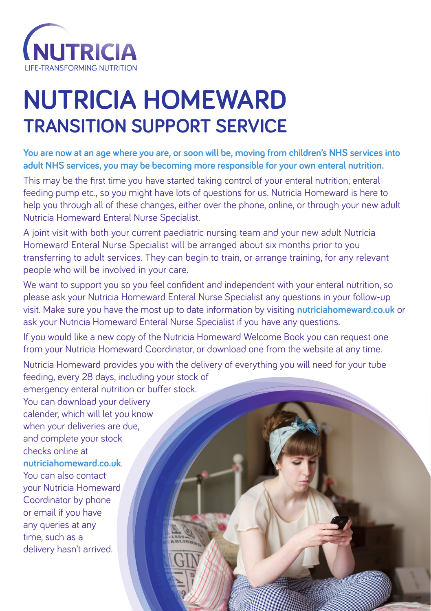

## **NUTRICIA HOMEWARD TRANSITION SUPPORT SERVICE**

**You are now at an age where you are, or soon will be, moving from children's NHS services into adult NHS services, you may be becoming more responsible for your own enteral nutrition.**

This may be the first time you have started taking control of your enteral nutrition, enteral feeding pump etc., so you might have lots of questions for us. Nutricia Homeward is here to help you through all of these changes, either over the phone, online, or through your new adult Nutricia Homeward Enteral Nurse Specialist.

A joint visit with both your current paediatric nursing team and your new adult Nutricia Homeward Enteral Nurse Specialist will be arranged about six months prior to you transferring to adult services. They can begin to train, or arrange training, for any relevant people who will be involved in your care.

We want to support you so you feel confident and independent with your enteral nutrition, so please ask your Nutricia Homeward Enteral Nurse Specialist any questions in your follow-up visit. Make sure you have the most up to date information by visiting **nutriciahomeward.co.uk** or ask your Nutricia Homeward Enteral Nurse Specialist if you have any questions.

If you would like a new copy of the Nutricia Homeward Welcome Book you can request one from your Nutricia Homeward Coordinator, or download one from the website at any time.

Nutricia Homeward provides you with the delivery of everything you will need for your tube feeding, every 28 days, including your stock of emergency enteral nutrition or buffer stock. You can download your delivery calender, which will let you know when your deliveries are due, and complete your stock checks online at **nutriciahomeward.co.uk**. You can also contact your Nutricia Homeward Coordinator by phone or email if you have any queries at any time, such as a delivery hasn't arrived.